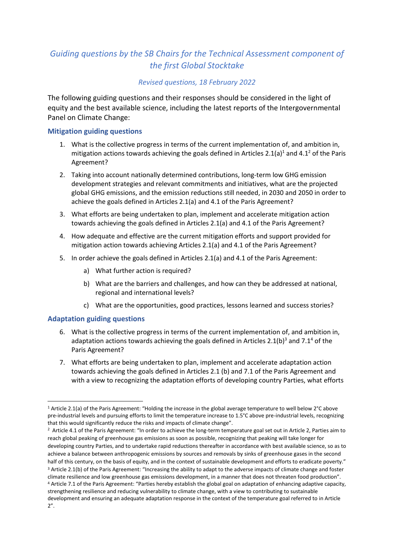# *Guiding questions by the SB Chairs for the Technical Assessment component of the first Global Stocktake*

## *Revised questions, 18 February 2022*

The following guiding questions and their responses should be considered in the light of equity and the best available science, including the latest reports of the Intergovernmental Panel on Climate Change:

### **Mitigation guiding questions**

- 1. What is the collective progress in terms of the current implementation of, and ambition in, mitigation actions towards achieving the goals defined in Articles 2.1(a)<sup>1</sup> and 4.1<sup>2</sup> of the Paris Agreement?
- 2. Taking into account nationally determined contributions, long-term low GHG emission development strategies and relevant commitments and initiatives, what are the projected global GHG emissions, and the emission reductions still needed, in 2030 and 2050 in order to achieve the goals defined in Articles 2.1(a) and 4.1 of the Paris Agreement?
- 3. What efforts are being undertaken to plan, implement and accelerate mitigation action towards achieving the goals defined in Articles 2.1(a) and 4.1 of the Paris Agreement?
- 4. How adequate and effective are the current mitigation efforts and support provided for mitigation action towards achieving Articles 2.1(a) and 4.1 of the Paris Agreement?
- 5. In order achieve the goals defined in Articles 2.1(a) and 4.1 of the Paris Agreement:
	- a) What further action is required?
	- b) What are the barriers and challenges, and how can they be addressed at national, regional and international levels?
	- c) What are the opportunities, good practices, lessons learned and success stories?

### **Adaptation guiding questions**

- 6. What is the collective progress in terms of the current implementation of, and ambition in, adaptation actions towards achieving the goals defined in Articles 2.1(b)<sup>3</sup> and 7.1<sup>4</sup> of the Paris Agreement?
- 7. What efforts are being undertaken to plan, implement and accelerate adaptation action towards achieving the goals defined in Articles 2.1 (b) and 7.1 of the Paris Agreement and with a view to recognizing the adaptation efforts of developing country Parties, what efforts

<sup>1</sup> Article 2.1(a) of the Paris Agreement: "Holding the increase in the global average temperature to well below 2°C above pre-industrial levels and pursuing efforts to limit the temperature increase to 1.5°C above pre-industrial levels, recognizing that this would significantly reduce the risks and impacts of climate change".

<sup>2</sup> Article 4.1 of the Paris Agreement: "In order to achieve the long-term temperature goal set out in Article 2, Parties aim to reach global peaking of greenhouse gas emissions as soon as possible, recognizing that peaking will take longer for developing country Parties, and to undertake rapid reductions thereafter in accordance with best available science, so as to achieve a balance between anthropogenic emissions by sources and removals by sinks of greenhouse gases in the second half of this century, on the basis of equity, and in the context of sustainable development and efforts to eradicate poverty." <sup>3</sup> Article 2.1(b) of the Paris Agreement: "Increasing the ability to adapt to the adverse impacts of climate change and foster climate resilience and low greenhouse gas emissions development, in a manner that does not threaten food production". <sup>4</sup> Article 7.1 of the Paris Agreement: "Parties hereby establish the global goal on adaptation of enhancing adaptive capacity, strengthening resilience and reducing vulnerability to climate change, with a view to contributing to sustainable development and ensuring an adequate adaptation response in the context of the temperature goal referred to in Article 2".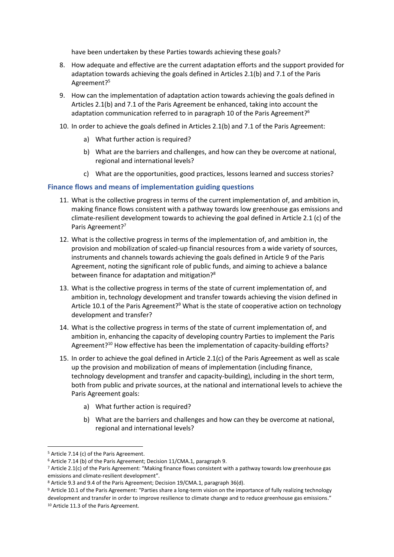have been undertaken by these Parties towards achieving these goals?

- 8. How adequate and effective are the current adaptation efforts and the support provided for adaptation towards achieving the goals defined in Articles 2.1(b) and 7.1 of the Paris Agreement? 5
- 9. How can the implementation of adaptation action towards achieving the goals defined in Articles 2.1(b) and 7.1 of the Paris Agreement be enhanced, taking into account the adaptation communication referred to in paragraph 10 of the Paris Agreement?<sup>6</sup>
- 10. In order to achieve the goals defined in Articles 2.1(b) and 7.1 of the Paris Agreement:
	- a) What further action is required?
	- b) What are the barriers and challenges, and how can they be overcome at national, regional and international levels?
	- c) What are the opportunities, good practices, lessons learned and success stories?

#### **Finance flows and means of implementation guiding questions**

- 11. What is the collective progress in terms of the current implementation of, and ambition in, making finance flows consistent with a pathway towards low greenhouse gas emissions and climate-resilient development towards to achieving the goal defined in Article 2.1 (c) of the Paris Agreement?<sup>7</sup>
- 12. What is the collective progress in terms of the implementation of, and ambition in, the provision and mobilization of scaled-up financial resources from a wide variety of sources, instruments and channels towards achieving the goals defined in Article 9 of the Paris Agreement, noting the significant role of public funds, and aiming to achieve a balance between finance for adaptation and mitigation?<sup>8</sup>
- 13. What is the collective progress in terms of the state of current implementation of, and ambition in, technology development and transfer towards achieving the vision defined in Article 10.1 of the Paris Agreement?<sup>9</sup> What is the state of cooperative action on technology development and transfer?
- 14. What is the collective progress in terms of the state of current implementation of, and ambition in, enhancing the capacity of developing country Parties to implement the Paris Agreement?<sup>10</sup> How effective has been the implementation of capacity-building efforts?
- 15. In order to achieve the goal defined in Article 2.1(c) of the Paris Agreement as well as scale up the provision and mobilization of means of implementation (including finance, technology development and transfer and capacity-building), including in the short term, both from public and private sources, at the national and international levels to achieve the Paris Agreement goals:
	- a) What further action is required?
	- b) What are the barriers and challenges and how can they be overcome at national, regional and international levels?

<sup>5</sup> Article 7.14 (c) of the Paris Agreement.

<sup>6</sup> Article 7.14 (b) of the Paris Agreement; Decision 11/CMA.1, paragraph 9.

 $7$  Article 2.1(c) of the Paris Agreement: "Making finance flows consistent with a pathway towards low greenhouse gas emissions and climate-resilient development".

<sup>8</sup> Article 9.3 and 9.4 of the Paris Agreement; Decision 19/CMA.1, paragraph 36(d).

<sup>9</sup> Article 10.1 of the Paris Agreement: "Parties share a long-term vision on the importance of fully realizing technology development and transfer in order to improve resilience to climate change and to reduce greenhouse gas emissions." <sup>10</sup> Article 11.3 of the Paris Agreement.